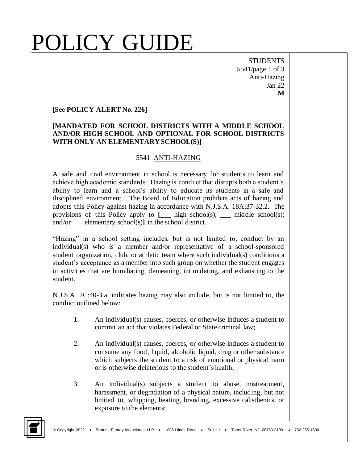## POLICY GUIDE

**STUDENTS** 5541/page 1 of 3 Anti-Hazing Jan 22 **M**

#### **[See POLICY ALERT No. 226]**

#### **[MANDATED FOR SCHOOL DISTRICTS WITH A MIDDLE SCHOOL AND/OR HIGH SCHOOL AND OPTIONAL FOR SCHOOL DISTRICTS WITH ONLY AN ELEMENTARY SCHOOL(S)]**

#### 5541 ANTI-HAZING

A safe and civil environment in school is necessary for students to learn and achieve high academic standards. Hazing is conduct that disrupts both a student's ability to learn and a school's ability to educate its students in a safe and disciplined environment. The Board of Education prohibits acts of hazing and adopts this Policy against hazing in accordance with N.J.S.A. 18A:37-32.2. The provisions of this Policy apply to **[**\_\_\_ high school(s); \_\_\_ middle school(s); and/or \_\_\_ elementary school(s)**]** in the school district.

"Hazing" in a school setting includes, but is not limited to, conduct by an individual(s) who is a member and/or representative of a school-sponsored student organization, club, or athletic team where such individual(s) conditions a student's acceptance as a member into such group on whether the student engages in activities that are humiliating, demeaning, intimidating, and exhausting to the student.

N.J.S.A. 2C:40-3.a. indicates hazing may also include, but is not limited to, the conduct outlined below:

- 1. An individual(s) causes, coerces, or otherwise induces a student to commit an act that violates Federal or State criminal law;
- 2. An individual(s) causes, coerces, or otherwise induces a student to consume any food, liquid, alcoholic liquid, drug or other substance which subjects the student to a risk of emotional or physical harm or is otherwise deleterious to the student's health;
- 3. An individual(s) subjects a student to abuse, mistreatment, harassment, or degradation of a physical nature, including, but not limited to, whipping, beating, branding, excessive calisthenics, or exposure to the elements;

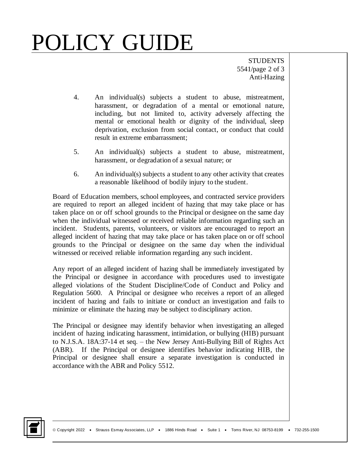# POLICY GUIDE

**STUDENTS** 5541/page 2 of 3 Anti-Hazing

- 4. An individual(s) subjects a student to abuse, mistreatment, harassment, or degradation of a mental or emotional nature, including, but not limited to, activity adversely affecting the mental or emotional health or dignity of the individual, sleep deprivation, exclusion from social contact, or conduct that could result in extreme embarrassment;
- 5. An individual(s) subjects a student to abuse, mistreatment, harassment, or degradation of a sexual nature; or
- 6. An individual(s) subjects a student to any other activity that creates a reasonable likelihood of bodily injury to the student.

Board of Education members, school employees, and contracted service providers are required to report an alleged incident of hazing that may take place or has taken place on or off school grounds to the Principal or designee on the same day when the individual witnessed or received reliable information regarding such an incident. Students, parents, volunteers, or visitors are encouraged to report an alleged incident of hazing that may take place or has taken place on or off school grounds to the Principal or designee on the same day when the individual witnessed or received reliable information regarding any such incident.

Any report of an alleged incident of hazing shall be immediately investigated by the Principal or designee in accordance with procedures used to investigate alleged violations of the Student Discipline/Code of Conduct and Policy and Regulation 5600. A Principal or designee who receives a report of an alleged incident of hazing and fails to initiate or conduct an investigation and fails to minimize or eliminate the hazing may be subject to disciplinary action.

The Principal or designee may identify behavior when investigating an alleged incident of hazing indicating harassment, intimidation, or bullying (HIB) pursuant to N.J.S.A. 18A:37-14 et seq. – the New Jersey Anti-Bullying Bill of Rights Act (ABR). If the Principal or designee identifies behavior indicating HIB, the Principal or designee shall ensure a separate investigation is conducted in accordance with the ABR and Policy 5512.